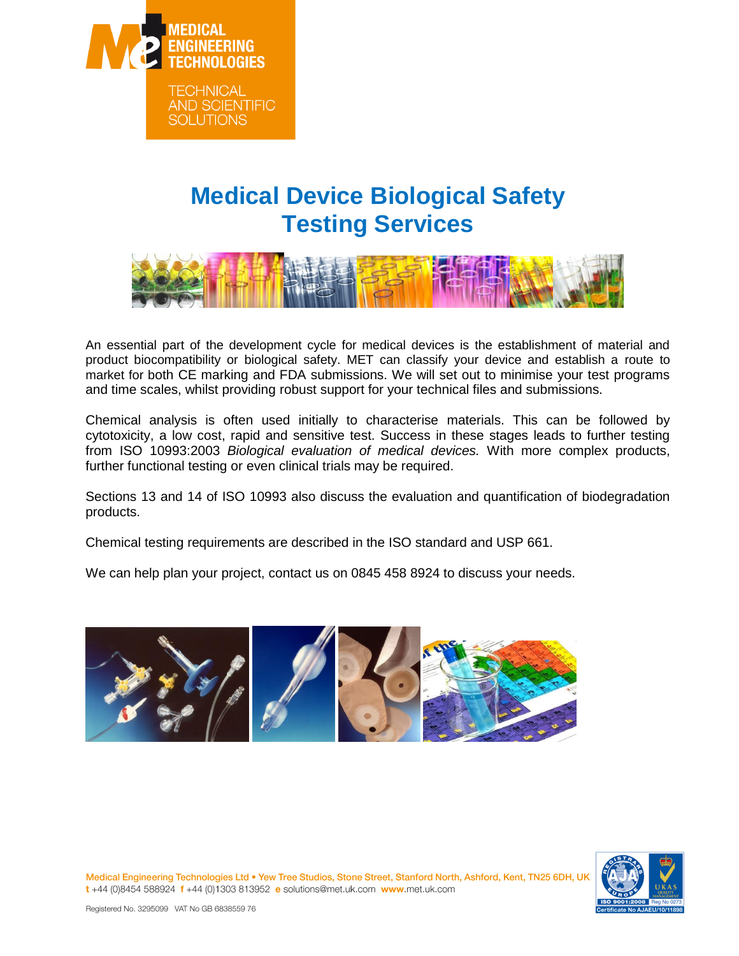

## **Medical Device Biological Safety Testing Services**



An essential part of the development cycle for medical devices is the establishment of material and product biocompatibility or biological safety. MET can classify your device and establish a route to market for both CE marking and FDA submissions. We will set out to minimise your test programs and time scales, whilst providing robust support for your technical files and submissions.

Chemical analysis is often used initially to characterise materials. This can be followed by cytotoxicity, a low cost, rapid and sensitive test. Success in these stages leads to further testing from ISO 10993:2003 *Biological evaluation of medical devices.* With more complex products, further functional testing or even clinical trials may be required.

Sections 13 and 14 of ISO 10993 also discuss the evaluation and quantification of biodegradation products.

Chemical testing requirements are described in the ISO standard and USP 661.

We can help plan your project, contact us on 0845 458 8924 to discuss your needs.





Medical Engineering Technologies Ltd . Yew Tree Studios, Stone Street, Stanford North, Ashford, Kent, TN25 6DH, UI t+44 (0)8454 588924 f+44 (0)1303 813952 e solutions@met.uk.com www.met.uk.com